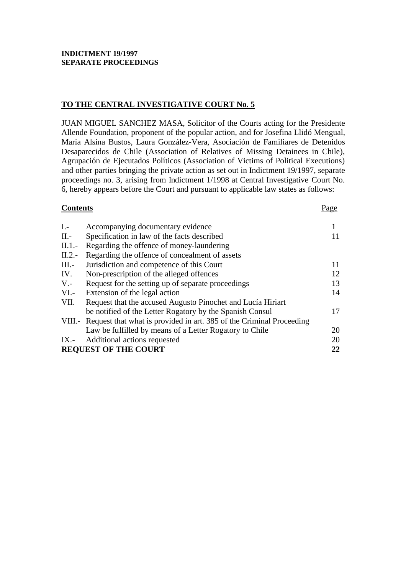# **TO THE CENTRAL INVESTIGATIVE COURT No. 5**

JUAN MIGUEL SANCHEZ MASA, Solicitor of the Courts acting for the Presidente Allende Foundation, proponent of the popular action, and for Josefina Llidó Mengual, María Alsina Bustos, Laura González-Vera, Asociación de Familiares de Detenidos Desaparecidos de Chile (Association of Relatives of Missing Detainees in Chile), Agrupación de Ejecutados Políticos (Association of Victims of Political Executions) and other parties bringing the private action as set out in Indictment 19/1997, separate proceedings no. 3, arising from Indictment 1/1998 at Central Investigative Court No. 6, hereby appears before the Court and pursuant to applicable law states as follows:

## **Contents** Page

| $I -$                       | Accompanying documentary evidence                                           |    |  |
|-----------------------------|-----------------------------------------------------------------------------|----|--|
| $II$ .                      | Specification in law of the facts described                                 |    |  |
| $II.1$ .                    | Regarding the offence of money-laundering                                   |    |  |
| $II.2$ .                    | Regarding the offence of concealment of assets                              |    |  |
| $III. -$                    | Jurisdiction and competence of this Court                                   | 11 |  |
| IV.                         | Non-prescription of the alleged offences                                    | 12 |  |
| $V -$                       | Request for the setting up of separate proceedings                          | 13 |  |
| $VI. -$                     | Extension of the legal action                                               | 14 |  |
| VII.                        | Request that the accused Augusto Pinochet and Lucía Hiriart                 |    |  |
|                             | be notified of the Letter Rogatory by the Spanish Consul                    | 17 |  |
|                             | VIII.- Request that what is provided in art. 385 of the Criminal Proceeding |    |  |
|                             | Law be fulfilled by means of a Letter Rogatory to Chile                     | 20 |  |
| $IX. -$                     | Additional actions requested                                                | 20 |  |
| <b>REQUEST OF THE COURT</b> |                                                                             |    |  |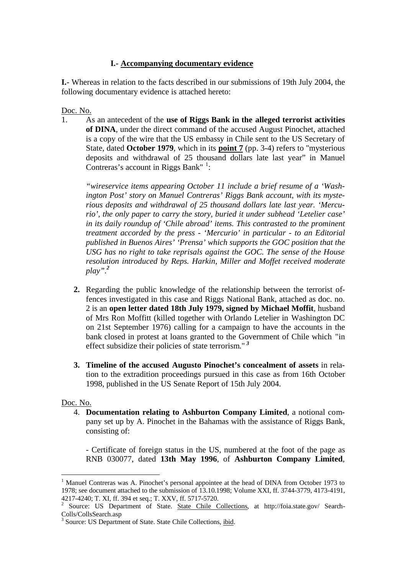## **I.- Accompanying documentary evidence**

**I.**- Whereas in relation to the facts described in our submissions of 19th July 2004, the following documentary evidence is attached hereto:

Doc. No.

1. As an antecedent of the **use of Riggs Bank in the alleged terrorist activities of DINA**, under the direct command of the accused August Pinochet, attached is a copy of the wire that the US embassy in Chile sent to the US Secretary of State, dated **October 1979**, which in its **point 7** (pp. 3-4) refers to "mysterious deposits and withdrawal of 25 thousand dollars late last year" in Manuel Contreras's account in Riggs Bank"  $\frac{1}{1}$ :

*"wireservice items appearing October 11 include a brief resume of a 'Washington Post' story on Manuel Contreras' Riggs Bank account, with its mysterious deposits and withdrawal of 25 thousand dollars late last year. 'Mercurio', the only paper to carry the story, buried it under subhead 'Letelier case' in its daily roundup of 'Chile abroad' items. This contrasted to the prominent treatment accorded by the press - 'Mercurio' in particular - to an Editorial published in Buenos Aires' 'Prensa' which supports the GOC position that the USG has no right to take reprisals against the GOC. The sense of the House resolution introduced by Reps. Harkin, Miller and Moffet received moderate play".<sup>2</sup>*

- **2.** Regarding the public knowledge of the relationship between the terrorist offences investigated in this case and Riggs National Bank, attached as doc. no. 2 is an **open letter dated 18th July 1979, signed by Michael Moffit**, husband of Mrs Ron Moffitt (killed together with Orlando Letelier in Washington DC on 21st September 1976) calling for a campaign to have the accounts in the bank closed in protest at loans granted to the Government of Chile which "in effect subsidize their policies of state terrorism." *<sup>3</sup>*
- **3. Timeline of the accused Augusto Pinochet's concealment of assets** in relation to the extradition proceedings pursued in this case as from 16th October 1998, published in the US Senate Report of 15th July 2004.

## Doc. No.

 $\overline{a}$ 

4. **Documentation relating to Ashburton Company Limited**, a notional company set up by A. Pinochet in the Bahamas with the assistance of Riggs Bank, consisting of:

- Certificate of foreign status in the US, numbered at the foot of the page as RNB 030077, dated **13th May 1996**, of **Ashburton Company Limited**,

<sup>&</sup>lt;sup>1</sup> Manuel Contreras was A. Pinochet's personal appointee at the head of DINA from October 1973 to 1978; see document attached to the submission of 13.10.1998; Volume XXI, ff. 3744-3779, 4173-4191, 4217-4240; T. XI, ff. 394 et seq.; T. XXV, ff. 5717-5720.

<sup>&</sup>lt;sup>2</sup> Source: US Department of State. State Chile Collections, at http://foia.state.gov/ Search-Colls/CollsSearch.asp

<sup>&</sup>lt;sup>3</sup> Source: US Department of State. State Chile Collections, *ibid.*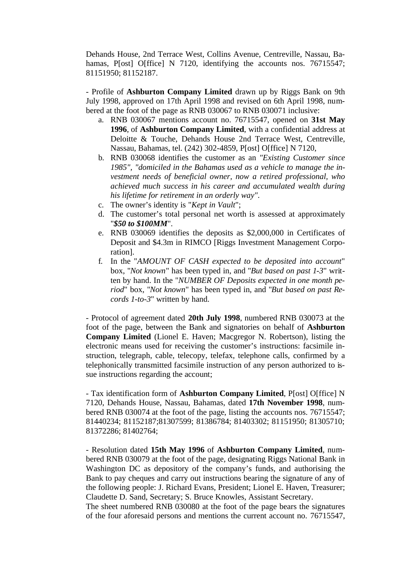Dehands House, 2nd Terrace West, Collins Avenue, Centreville, Nassau, Bahamas, P[ost] O[ffice] N 7120, identifying the accounts nos. 76715547; 81151950; 81152187.

- Profile of **Ashburton Company Limited** drawn up by Riggs Bank on 9th July 1998, approved on 17th April 1998 and revised on 6th April 1998, numbered at the foot of the page as RNB 030067 to RNB 030071 inclusive:

- a. RNB 030067 mentions account no. 76715547, opened on **31st May 1996**, of **Ashburton Company Limited**, with a confidential address at Deloitte & Touche, Dehands House 2nd Terrace West, Centreville, Nassau, Bahamas, tel. (242) 302-4859, P[ost] O[ffice] N 7120,
- b. RNB 030068 identifies the customer as an *"Existing Customer since 1985", "domiciled in the Bahamas used as a vehicle to manage the investment needs of beneficial owner, now a retired professional, who achieved much success in his career and accumulated wealth during his lifetime for retirement in an orderly way"*.
- c. The owner's identity is "*Kept in Vault*";
- d. The customer's total personal net worth is assessed at approximately "*\$50 to \$100MM*".
- e. RNB 030069 identifies the deposits as \$2,000,000 in Certificates of Deposit and \$4.3m in RIMCO [Riggs Investment Management Corporation].
- f. In the "*AMOUNT OF CASH expected to be deposited into account*" box, "*Not known*" has been typed in, and "*But based on past 1-3*" written by hand. In the "*NUMBER OF Deposits expected in one month period*" box, "*Not known*" has been typed in, and "*But based on past Records 1-to-3*" written by hand.

- Protocol of agreement dated **20th July 1998**, numbered RNB 030073 at the foot of the page, between the Bank and signatories on behalf of **Ashburton Company Limited** (Lionel E. Haven; Macgregor N. Robertson), listing the electronic means used for receiving the customer's instructions: facsimile instruction, telegraph, cable, telecopy, telefax, telephone calls, confirmed by a telephonically transmitted facsimile instruction of any person authorized to issue instructions regarding the account;

- Tax identification form of **Ashburton Company Limited**, P[ost] O[ffice] N 7120, Dehands House, Nassau, Bahamas, dated **17th November 1998**, numbered RNB 030074 at the foot of the page, listing the accounts nos. 76715547; 81440234; 81152187;81307599; 81386784; 81403302; 81151950; 81305710; 81372286; 81402764;

- Resolution dated **15th May 1996** of **Ashburton Company Limited**, numbered RNB 030079 at the foot of the page, designating Riggs National Bank in Washington DC as depository of the company's funds, and authorising the Bank to pay cheques and carry out instructions bearing the signature of any of the following people: J. Richard Evans, President; Lionel E. Haven, Treasurer; Claudette D. Sand, Secretary; S. Bruce Knowles, Assistant Secretary.

The sheet numbered RNB 030080 at the foot of the page bears the signatures of the four aforesaid persons and mentions the current account no. 76715547,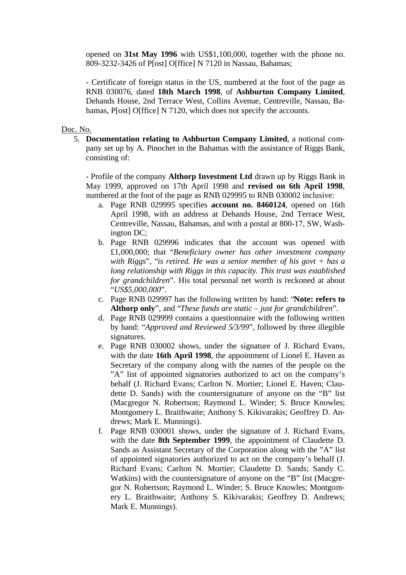opened on **31st May 1996** with US\$1,100,000, together with the phone no. 809-3232-3426 of P[ost] O[ffice] N 7120 in Nassau, Bahamas;

- Certificate of foreign status in the US, numbered at the foot of the page as RNB 030076, dated **18th March 1998**, of **Ashburton Company Limited**, Dehands House, 2nd Terrace West, Collins Avenue, Centreville, Nassau, Bahamas, P[ost] O[ffice] N 7120, which does not specify the accounts.

## Doc. No.

5. **Documentation relating to Ashburton Company Limited**, a notional company set up by A. Pinochet in the Bahamas with the assistance of Riggs Bank, consisting of:

- Profile of the company **Althorp Investment Ltd** drawn up by Riggs Bank in May 1999, approved on 17th April 1998 and **revised on 6th April 1998**, numbered at the foot of the page as RNB 029995 to RNB 030002 inclusive:

- a. Page RNB 029995 specifies **account no. 8460124**, opened on 16th April 1998, with an address at Dehands House, 2nd Terrace West, Centreville, Nassau, Bahamas, and with a postal at 800-17, SW, Washington DC;
- b. Page RNB 029996 indicates that the account was opened with £1,000,000; that "*Beneficiary owner has other investment company with Riggs*", "*is retired. He was a senior member of his govt + has a long relationship with Riggs in this capacity. This trust was established for grandchildren*". His total personal net worth is reckoned at about "*US\$5,000,000*".
- c. Page RNB 029997 has the following written by hand: "**Note: refers to Althorp only**", and "*These funds are static – just for grandchildren*".
- d. Page RNB 029999 contains a questionnaire with the following written by hand: "*Approved and Reviewed 5/3/99*", followed by three illegible signatures.
- e. Page RNB 030002 shows, under the signature of J. Richard Evans, with the date **16th April 1998**, the appointment of Lionel E. Haven as Secretary of the company along with the names of the people on the "A" list of appointed signatories authorized to act on the company's behalf (J. Richard Evans; Carlton N. Mortier; Lionel E. Haven; Claudette D. Sands) with the countersignature of anyone on the "B" list (Macgregor N. Robertson; Raymond L. Winder; S. Bruce Knowles; Montgomery L. Braithwaite; Anthony S. Kikivarakis; Geoffrey D. Andrews; Mark E. Munnings).
- f. Page RNB 030001 shows, under the signature of J. Richard Evans, with the date **8th September 1999**, the appointment of Claudette D. Sands as Assistant Secretary of the Corporation along with the "A" list of appointed signatories authorized to act on the company's behalf (J. Richard Evans; Carlton N. Mortier; Claudette D. Sands; Sandy C. Watkins) with the countersignature of anyone on the "B" list (Macgregor N. Robertson; Raymond L. Winder; S. Bruce Knowles; Montgomery L. Braithwaite; Anthony S. Kikivarakis; Geoffrey D. Andrews; Mark E. Munnings).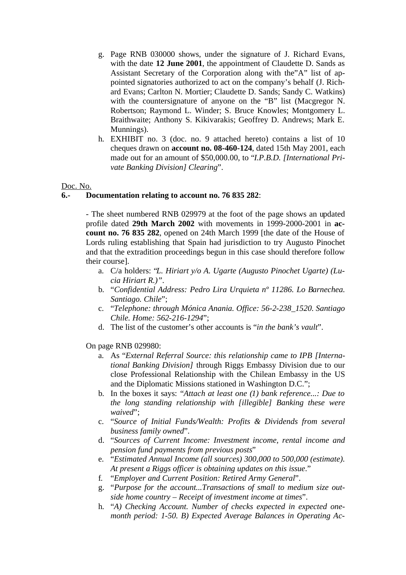- g. Page RNB 030000 shows, under the signature of J. Richard Evans, with the date **12 June 2001**, the appointment of Claudette D. Sands as Assistant Secretary of the Corporation along with the"A" list of appointed signatories authorized to act on the company's behalf (J. Richard Evans; Carlton N. Mortier; Claudette D. Sands; Sandy C. Watkins) with the countersignature of anyone on the "B" list (Macgregor N. Robertson; Raymond L. Winder; S. Bruce Knowles; Montgomery L. Braithwaite; Anthony S. Kikivarakis; Geoffrey D. Andrews; Mark E. Munnings).
- h. EXHIBIT no. 3 (doc. no. 9 attached hereto) contains a list of 10 cheques drawn on **account no. 08-460-124**, dated 15th May 2001, each made out for an amount of \$50,000.00, to "*I.P.B.D. [International Private Banking Division] Clearing*".

## Doc. No.

## **6.- Documentation relating to account no. 76 835 282**:

- The sheet numbered RNB 029979 at the foot of the page shows an updated profile dated **29th March 2002** with movements in 1999-2000-2001 in **account no. 76 835 282**, opened on 24th March 1999 [the date of the House of Lords ruling establishing that Spain had jurisdiction to try Augusto Pinochet and that the extradition proceedings begun in this case should therefore follow their course].

- a. C/a holders: "*L. Hiriart y/o A. Ugarte (Augusto Pinochet Ugarte) (Lucia Hiriart R.)"*.
- b. "*Confidential Address: Pedro Lira Urquieta nº 11286. Lo Barnechea. Santiago. Chile*";
- c. "*Telephone: through Mónica Anania. Office: 56-2-238\_1520. Santiago Chile. Home: 562-216-1294*";
- d. The list of the customer's other accounts is "*in the bank's vault*".

On page RNB 029980:

- a. As "*External Referral Source: this relationship came to IPB [International Banking Division]* through Riggs Embassy Division due to our close Professional Relationship with the Chilean Embassy in the US and the Diplomatic Missions stationed in Washington D.C.";
- b. In the boxes it says: "*Attach at least one (1) bank reference...: Due to the long standing relationship with [illegible] Banking these were waived*";
- c. "*Source of Initial Funds/Wealth: Profits & Dividends from several business family owned*".
- d. "*Sources of Current Income: Investment income, rental income and pension fund payments from previous posts*"
- e. "*Estimated Annual Income (all sources) 300,000 to 500,000 (estimate). At present a Riggs officer is obtaining updates on this issue*."
- f. "*Employer and Current Position: Retired Army General*".
- g. "*Purpose for the account...Transactions of small to medium size outside home country – Receipt of investment income at times*".
- h. "*A) Checking Account. Number of checks expected in expected onemonth period: 1-50. B) Expected Average Balances in Operating Ac-*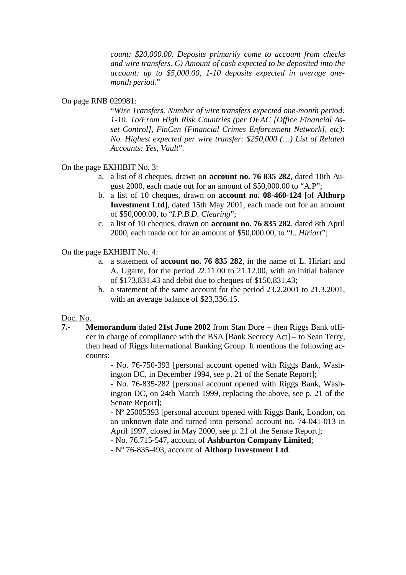*count: \$20,000.00. Deposits primarily come to account from checks and wire transfers. C) Amount of cash expected to be deposited into the account: up to \$5,000.00, 1-10 deposits expected in average onemonth period.*"

## On page RNB 029981:

"*Wire Transfers. Number of wire transfers expected one-month period: 1-10. To/From High Risk Countries (per OFAC [Office Financial Asset Control], FinCen [Financial Crimes Enforcement Network], etc): No. Highest expected per wire transfer: \$250,000 (…) List of Related Accounts: Yes, Vault*".

## On the page EXHIBIT No. 3:

- a. a list of 8 cheques, drawn on **account no. 76 835 282**, dated 18th August 2000, each made out for an amount of \$50,000.00 to "A.P";
- b. a list of 10 cheques, drawn on **account no. 08-460-124** [of **Althorp Investment Ltd**], dated 15th May 2001, each made out for an amount of \$50,000.00, to "*I.P.B.D. Clearing*";
- c. a list of 10 cheques, drawn on **account no. 76 835 282**, dated 8th April 2000, each made out for an amount of \$50,000.00, to "*L. Hiriart*";

On the page EXHIBIT No. 4:

- a. a statement of **account no. 76 835 282**, in the name of L. Hiriart and A. Ugarte, for the period 22.11.00 to 21.12.00, with an initial balance of \$173,831.43 and debit due to cheques of \$150,831.43;
- b. a statement of the same account for the period 23.2.2001 to 21.3.2001, with an average balance of \$23,336.15.

### Doc. No.

**7.- Memorandum** dated **21st June 2002** from Stan Dore – then Riggs Bank officer in charge of compliance with the BSA [Bank Secrecy Act] – to Sean Terry, then head of Riggs International Banking Group. It mentions the following accounts:

> - No. 76-750-393 [personal account opened with Riggs Bank, Washington DC, in December 1994, see p. 21 of the Senate Report];

> - No. 76-835-282 [personal account opened with Riggs Bank, Washington DC, on 24th March 1999, replacing the above, see p. 21 of the Senate Report];

> - Nº 25005393 [personal account opened with Riggs Bank, London, on an unknown date and turned into personal account no. 74-041-013 in April 1997, closed in May 2000, see p. 21 of the Senate Report];

- No. 76.715-547, account of **Ashburton Company Limited**;

- Nº 76-835-493, account of **Althorp Investment Ltd**.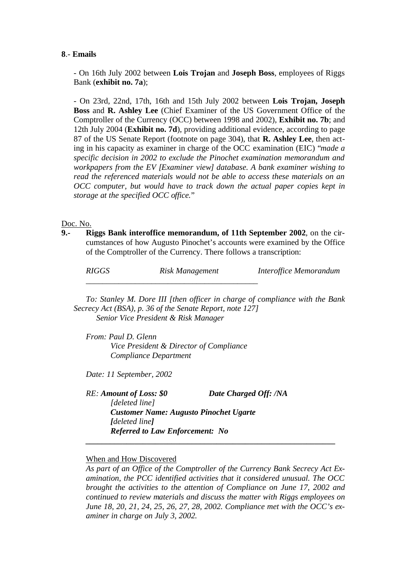## **8**.- **Emails**

- On 16th July 2002 between **Lois Trojan** and **Joseph Boss**, employees of Riggs Bank (**exhibit no. 7a**);

- On 23rd, 22nd, 17th, 16th and 15th July 2002 between **Lois Trojan, Joseph Boss** and **R. Ashley Lee** (Chief Examiner of the US Government Office of the Comptroller of the Currency (OCC) between 1998 and 2002), **Exhibit no. 7b**; and 12th July 2004 (**Exhibit no. 7d**), providing additional evidence, according to page 87 of the US Senate Report (footnote on page 304), that **R. Ashley Lee**, then acting in his capacity as examiner in charge of the OCC examination (EIC) "*made a specific decision in 2002 to exclude the Pinochet examination memorandum and workpapers from the EV [Examiner view] database. A bank examiner wishing to read the referenced materials would not be able to access these materials on an OCC computer, but would have to track down the actual paper copies kept in storage at the specified OCC office.*"

### Doc. No.

**9.- Riggs Bank interoffice memorandum, of 11th September 2002**, on the circumstances of how Augusto Pinochet's accounts were examined by the Office of the Comptroller of the Currency. There follows a transcription:

*RIGGS Risk Management Interoffice Memorandum*

*To: Stanley M. Dore III [then officer in charge of compliance with the Bank Secrecy Act (BSA), p. 36 of the Senate Report, note 127] Senior Vice President & Risk Manager*

*From: Paul D. Glenn Vice President & Director of Compliance Compliance Department*

*\_\_\_\_\_\_\_\_\_\_\_\_\_\_\_\_\_\_\_\_\_\_\_\_\_\_\_\_\_\_\_\_\_\_\_\_\_\_\_\_\_\_*

*Date: 11 September, 2002*

*RE: Amount of Loss: \$0 Date Charged Off: /NA [deleted line] Customer Name: Augusto Pinochet Ugarte [deleted line] Referred to Law Enforcement: No*

 *\_\_\_\_\_\_\_\_\_\_\_\_\_\_\_\_\_\_\_\_\_\_\_\_\_\_\_\_\_\_\_\_\_\_\_\_\_\_\_\_\_\_\_\_\_\_\_\_\_\_\_\_\_\_\_\_\_\_\_\_\_*

When and How Discovered

*As part of an Office of the Comptroller of the Currency Bank Secrecy Act Examination, the PCC identified activities that it considered unusual. The OCC brought the activities to the attention of Compliance on June 17, 2002 and continued to review materials and discuss the matter with Riggs employees on June 18, 20, 21, 24, 25, 26, 27, 28, 2002. Compliance met with the OCC's examiner in charge on July 3, 2002.*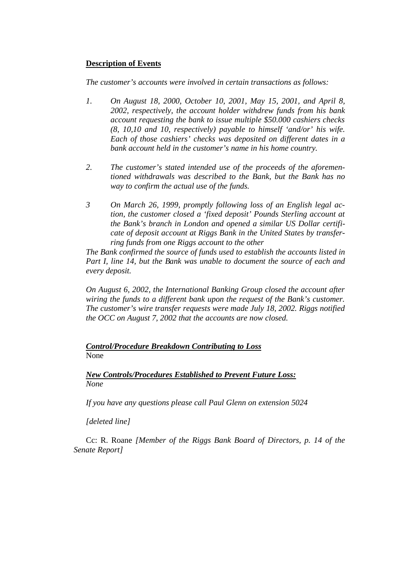## **Description of Events**

## *The customer's accounts were involved in certain transactions as follows:*

- *1. On August 18, 2000, October 10, 2001, May 15, 2001, and April 8, 2002, respectively, the account holder withdrew funds from his bank account requesting the bank to issue multiple \$50.000 cashiers checks (8, 10,10 and 10, respectively) payable to himself 'and/or' his wife. Each of those cashiers' checks was deposited on different dates in a bank account held in the customer's name in his home country.*
- *2. The customer's stated intended use of the proceeds of the aforementioned withdrawals was described to the Bank, but the Bank has no way to confirm the actual use of the funds.*
- *3 On March 26, 1999, promptly following loss of an English legal action, the customer closed a 'fixed deposit' Pounds Sterling account at the Bank's branch in London and opened a similar US Dollar certificate of deposit account at Riggs Bank in the United States by transferring funds from one Riggs account to the other*

*The Bank confirmed the source of funds used to establish the accounts listed in Part I, line 14, but the Bank was unable to document the source of each and every deposit.*

*On August 6, 2002, the International Banking Group closed the account after wiring the funds to a different bank upon the request of the Bank's customer. The customer's wire transfer requests were made July 18, 2002. Riggs notified the OCC on August 7, 2002 that the accounts are now closed.*

*Control/Procedure Breakdown Contributing to Loss* None

*New Controls/Procedures Established to Prevent Future Loss: None*

*If you have any questions please call Paul Glenn on extension 5024*

*[deleted line]*

Cc: R. Roane *[Member of the Riggs Bank Board of Directors, p. 14 of the Senate Report]*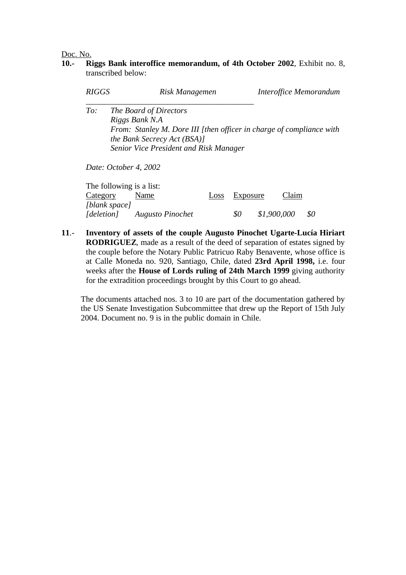Doc. No.

**10.- Riggs Bank interoffice memorandum, of 4th October 2002**, Exhibit no. 8, transcribed below:

| <i>RIGGS</i> | Risk Managemen                                                                                                                                                                            | Interoffice Memorandum |
|--------------|-------------------------------------------------------------------------------------------------------------------------------------------------------------------------------------------|------------------------|
| To:          | The Board of Directors<br>Riggs Bank N.A<br>From: Stanley M. Dore III [then officer in charge of compliance with<br>the Bank Secrecy Act (BSA)]<br>Senior Vice President and Risk Manager |                        |
|              | Date: October 4, 2002                                                                                                                                                                     |                        |

| The following is a list: |                  |               |             |     |
|--------------------------|------------------|---------------|-------------|-----|
| Category                 | Name             | Loss Exposure | Claim       |     |
| [blank space]            |                  |               |             |     |
| [deletion]               | Augusto Pinochet | -80           | \$1,900,000 | \$0 |

**11**.- **Inventory of assets of the couple Augusto Pinochet Ugarte-Lucía Hiriart RODRIGUEZ**, made as a result of the deed of separation of estates signed by the couple before the Notary Public Patricuo Raby Benavente, whose office is at Calle Moneda no. 920, Santiago, Chile, dated **23rd April 1998,** i.e. four weeks after the **House of Lords ruling of 24th March 1999** giving authority for the extradition proceedings brought by this Court to go ahead.

The documents attached nos. 3 to 10 are part of the documentation gathered by the US Senate Investigation Subcommittee that drew up the Report of 15th July 2004. Document no. 9 is in the public domain in Chile.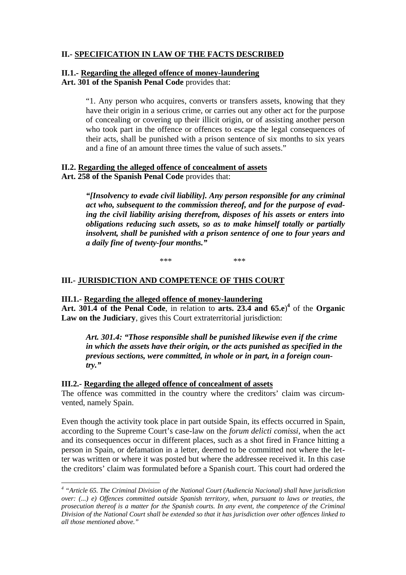# **II.- SPECIFICATION IN LAW OF THE FACTS DESCRIBED**

# **II.1.- Regarding the alleged offence of money-laundering**

**Art. 301 of the Spanish Penal Code** provides that:

"1. Any person who acquires, converts or transfers assets, knowing that they have their origin in a serious crime, or carries out any other act for the purpose of concealing or covering up their illicit origin, or of assisting another person who took part in the offence or offences to escape the legal consequences of their acts, shall be punished with a prison sentence of six months to six years and a fine of an amount three times the value of such assets."

# **II.2. Regarding the alleged offence of concealment of assets**

**Art. 258 of the Spanish Penal Code** provides that:

*"[Insolvency to evade civil liability]. Any person responsible for any criminal act who, subsequent to the commission thereof, and for the purpose of evading the civil liability arising therefrom, disposes of his assets or enters into obligations reducing such assets, so as to make himself totally or partially insolvent, shall be punished with a prison sentence of one to four years and a daily fine of twenty-four months."*

\*\*\* \*\*\* \*\*\*

# **III.- JURISDICTION AND COMPETENCE OF THIS COURT**

## **III.1.- Regarding the alleged offence of money-laundering**

Art. 301.4 of the Penal Code, in relation to arts. 23.4 and  $65.e$ <sup>4</sup> of the Organic **Law on the Judiciary**, gives this Court extraterritorial jurisdiction:

*Art. 301.4: "Those responsible shall be punished likewise even if the crime in which the assets have their origin, or the acts punished as specified in the previous sections, were committed, in whole or in part, in a foreign country."*

## **III.2.- Regarding the alleged offence of concealment of assets**

 $\overline{a}$ 

The offence was committed in the country where the creditors' claim was circumvented, namely Spain.

Even though the activity took place in part outside Spain, its effects occurred in Spain, according to the Supreme Court's case-law on the *forum delicti comissi*, when the act and its consequences occur in different places, such as a shot fired in France hitting a person in Spain, or defamation in a letter, deemed to be committed not where the letter was written or where it was posted but where the addressee received it. In this case the creditors' claim was formulated before a Spanish court. This court had ordered the

<sup>&</sup>lt;sup>4</sup> "Article 65. The Criminal Division of the National Court (Audiencia Nacional) shall have jurisdiction *over: (...) e) Offences committed outside Spanish territory, when, pursuant to laws or treaties, the prosecution thereof is a matter for the Spanish courts. In any event, the competence of the Criminal Division of the National Court shall be extended so that it has jurisdiction over other offences linked to all those mentioned above."*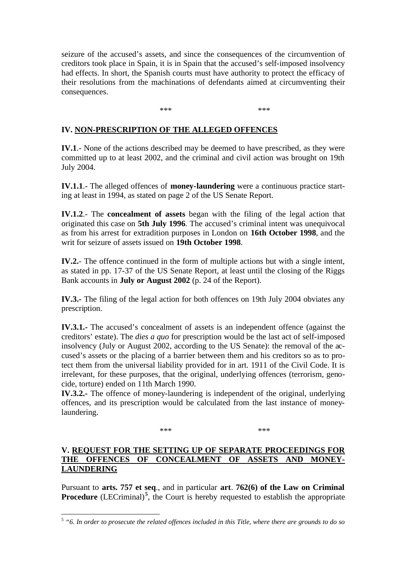seizure of the accused's assets, and since the consequences of the circumvention of creditors took place in Spain, it is in Spain that the accused's self-imposed insolvency had effects. In short, the Spanish courts must have authority to protect the efficacy of their resolutions from the machinations of defendants aimed at circumventing their consequences.

\*\*\* \*\*\* \*\*\* \*\*\*

# **IV. NON-PRESCRIPTION OF THE ALLEGED OFFENCES**

**IV.1**.- None of the actions described may be deemed to have prescribed, as they were committed up to at least 2002, and the criminal and civil action was brought on 19th July 2004.

**IV.1.1**.- The alleged offences of **money-laundering** were a continuous practice starting at least in 1994, as stated on page 2 of the US Senate Report.

**IV.1.2**.- The **concealment of assets** began with the filing of the legal action that originated this case on **5th July 1996**. The accused's criminal intent was unequivocal as from his arrest for extradition purposes in London on **16th October 1998**, and the writ for seizure of assets issued on **19th October 1998**.

**IV.2.**- The offence continued in the form of multiple actions but with a single intent, as stated in pp. 17-37 of the US Senate Report, at least until the closing of the Riggs Bank accounts in **July or August 2002** (p. 24 of the Report).

**IV.3.-** The filing of the legal action for both offences on 19th July 2004 obviates any prescription.

**IV.3.1.-** The accused's concealment of assets is an independent offence (against the creditors' estate). The *dies a quo* for prescription would be the last act of self-imposed insolvency (July or August 2002, according to the US Senate): the removal of the accused's assets or the placing of a barrier between them and his creditors so as to protect them from the universal liability provided for in art. 1911 of the Civil Code. It is irrelevant, for these purposes, that the original, underlying offences (terrorism, genocide, torture) ended on 11th March 1990.

**IV.3.2.-** The offence of money-laundering is independent of the original, underlying offences, and its prescription would be calculated from the last instance of moneylaundering.

\*\*\* \*\*\* \*\*\* \*\*\*

# **V. REQUEST FOR THE SETTING UP OF SEPARATE PROCEEDINGS FOR THE OFFENCES OF CONCEALMENT OF ASSETS AND MONEY-LAUNDERING**

Pursuant to **arts. 757 et seq**., and in particular **art**. **762(6) of the Law on Criminal Procedure** (LECriminal)<sup>5</sup>, the Court is hereby requested to establish the appropriate

<sup>5</sup> *"6. In order to prosecute the related offences included in this Title, where there are grounds to do so*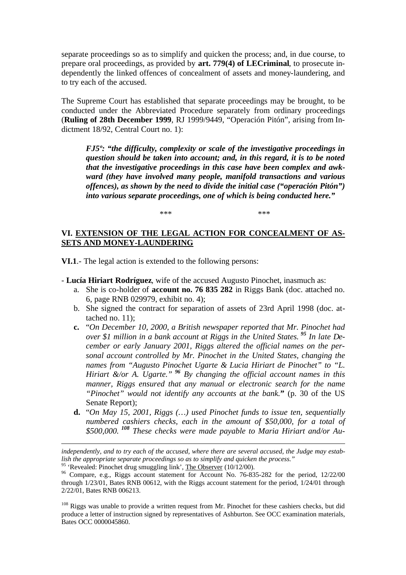separate proceedings so as to simplify and quicken the process; and, in due course, to prepare oral proceedings, as provided by **art. 779(4) of LECriminal**, to prosecute independently the linked offences of concealment of assets and money-laundering, and to try each of the accused.

The Supreme Court has established that separate proceedings may be brought, to be conducted under the Abbreviated Procedure separately from ordinary proceedings (**Ruling of 28th December 1999**, RJ 1999/9449, "Operación Pitón", arising from Indictment 18/92, Central Court no. 1):

*FJ5º: "the difficulty, complexity or scale of the investigative proceedings in question should be taken into account; and, in this regard, it is to be noted that the investigative proceedings in this case have been complex and awkward (they have involved many people, manifold transactions and various offences), as shown by the need to divide the initial case ("operación Pitón") into various separate proceedings, one of which is being conducted here."*

\*\*\* \*\*\* \*\*\* \*\*\*

# **VI. EXTENSION OF THE LEGAL ACTION FOR CONCEALMENT OF AS-SETS AND MONEY-LAUNDERING**

**VI.1**.- The legal action is extended to the following persons:

- **Lucía Hiriart Rodríguez**, wife of the accused Augusto Pinochet, inasmuch as:
	- a. She is co-holder of **account no. 76 835 282** in Riggs Bank (doc. attached no. 6, page RNB 029979, exhibit no. 4);
	- b. She signed the contract for separation of assets of 23rd April 1998 (doc. attached no. 11);
	- **c.** "*On December 10, 2000, a British newspaper reported that Mr. Pinochet had over \$1 million in a bank account at Riggs in the United States.<sup>95</sup> In late December or early January 2001, Riggs altered the official names on the personal account controlled by Mr. Pinochet in the United States, changing the names from "Augusto Pinochet Ugarte & Lucia Hiriart de Pinochet" to "L. Hiriart &/or A. Ugarte."<sup>96</sup> By changing the official account names in this manner, Riggs ensured that any manual or electronic search for the name "Pinochet" would not identify any accounts at the bank.***"** (p. 30 of the US Senate Report);
	- **d.** "*On May 15, 2001, Riggs (…) used Pinochet funds to issue ten, sequentially numbered cashiers checks, each in the amount of \$50,000, for a total of \$500,000.<sup>108</sup> These checks were made payable to Maria Hiriart and/or Au-*

<sup>95</sup> 'Revealed: Pinochet drug smuggling link', The Observer (10/12/00).

*independently, and to try each of the accused, where there are several accused, the Judge may establish the appropriate separate proceedings so as to simplify and quicken the process."*

<sup>&</sup>lt;sup>96</sup> Compare, e.g., Riggs account statement for Account No. 76-835-282 for the period, 12/22/00 through 1/23/01, Bates RNB 00612, with the Riggs account statement for the period, 1/24/01 through 2/22/01, Bates RNB 006213.

<sup>&</sup>lt;sup>108</sup> Riggs was unable to provide a written request from Mr. Pinochet for these cashiers checks, but did produce a letter of instruction signed by representatives of Ashburton. See OCC examination materials, Bates OCC 0000045860.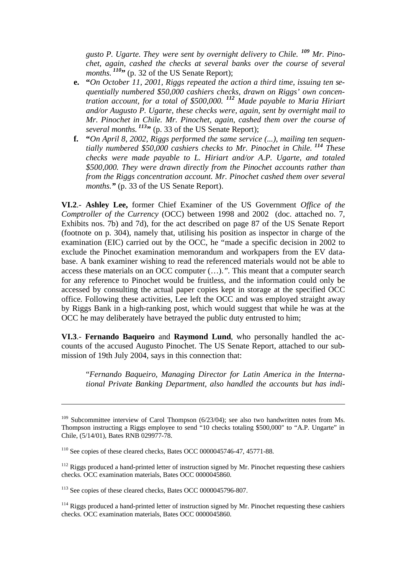*gusto P. Ugarte. They were sent by overnight delivery to Chile. <sup>109</sup> Mr. Pinochet, again, cashed the checks at several banks over the course of several months.*<sup>*110*</sup><sup>\*</sup>, (p. 32 of the US Senate Report);

- **e. "***On October 11, 2001, Riggs repeated the action a third time, issuing ten sequentially numbered \$50,000 cashiers checks, drawn on Riggs' own concentration account, for a total of \$500,000. <sup>112</sup> Made payable to Maria Hiriart and/or Augusto P. Ugarte, these checks were, again, sent by overnight mail to Mr. Pinochet in Chile. Mr. Pinochet, again, cashed them over the course of several months.<sup>113</sup>***"** (p. 33 of the US Senate Report);
- **f. "***On April 8, 2002, Riggs performed the same service (...), mailing ten sequentially numbered \$50,000 cashiers checks to Mr. Pinochet in Chile.<sup>114</sup> These checks were made payable to L. Hiriart and/or A.P. Ugarte, and totaled \$500,000. They were drawn directly from the Pinochet accounts rather than from the Riggs concentration account. Mr. Pinochet cashed them over several months."* (p. 33 of the US Senate Report).

**VI.2**.- **Ashley Lee,** former Chief Examiner of the US Government *Office of the Comptroller of the Currency* (OCC) between 1998 and 2002 (doc. attached no. 7, Exhibits nos. 7b) and 7d), for the act described on page 87 of the US Senate Report (footnote on p. 304), namely that, utilising his position as inspector in charge of the examination (EIC) carried out by the OCC, he "made a specific decision in 2002 to exclude the Pinochet examination memorandum and workpapers from the EV database. A bank examiner wishing to read the referenced materials would not be able to access these materials on an OCC computer (…).*".* This meant that a computer search for any reference to Pinochet would be fruitless, and the information could only be accessed by consulting the actual paper copies kept in storage at the specified OCC office. Following these activities, Lee left the OCC and was employed straight away by Riggs Bank in a high-ranking post, which would suggest that while he was at the OCC he may deliberately have betrayed the public duty entrusted to him;

**VI.3**.- **Fernando Baqueiro** and **Raymond Lund**, who personally handled the accounts of the accused Augusto Pinochet. The US Senate Report, attached to our submission of 19th July 2004, says in this connection that:

"*Fernando Baqueiro, Managing Director for Latin America in the International Private Banking Department, also handled the accounts but has indi-*

 $109$  Subcommittee interview of Carol Thompson (6/23/04); see also two handwritten notes from Ms. Thompson instructing a Riggs employee to send "10 checks totaling \$500,000" to "A.P. Ungarte" in Chile, (5/14/01), Bates RNB 029977-78.

<sup>&</sup>lt;sup>110</sup> See copies of these cleared checks, Bates OCC 0000045746-47, 45771-88.

 $112$  Riggs produced a hand-printed letter of instruction signed by Mr. Pinochet requesting these cashiers checks. OCC examination materials, Bates OCC 0000045860.

<sup>&</sup>lt;sup>113</sup> See copies of these cleared checks, Bates OCC 0000045796-807.

<sup>&</sup>lt;sup>114</sup> Riggs produced a hand-printed letter of instruction signed by Mr. Pinochet requesting these cashiers checks. OCC examination materials, Bates OCC 0000045860.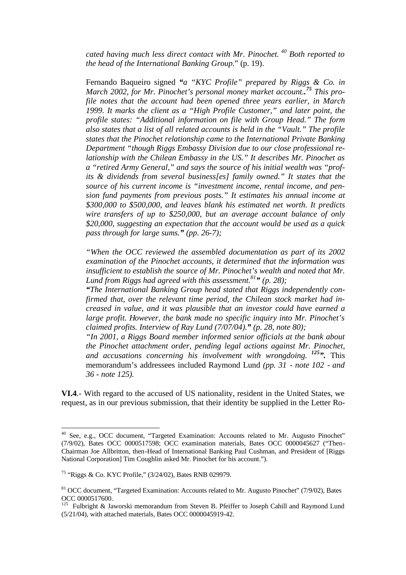*cated having much less direct contact with Mr. Pinochet.<sup>40</sup> Both reported to the head of the International Banking Group.*" (p. 19).

Fernando Baqueiro signed *"a "KYC Profile" prepared by Riggs & Co. in March 2002, for Mr. Pinochet's personal money market account.. <sup>75</sup> This profile notes that the account had been opened three years earlier, in March 1999. It marks the client as a "High Profile Customer," and later point, the profile states: "Additional information on file with Group Head." The form also states that a list of all related accounts is held in the "Vault." The profile states that the Pinochet relationship came to the International Private Banking Department "though Riggs Embassy Division due to our close professional relationship with the Chilean Embassy in the US." It describes Mr. Pinochet as a "retired Army General," and says the source of his initial wealth was "profits & dividends from several business[es] family owned." It states that the source of his current income is "investment income, rental income, and pension fund payments from previous posts." It estimates his annual income at \$300,000 to \$500,000, and leaves blank his estimated net worth. It predicts wire transfers of up to \$250,000, but an average account balance of only \$20,000, suggesting an expectation that the account would be used as a quick pass through for large sums." (pp. 26-7);*

*"When the OCC reviewed the assembled documentation as part of its 2002 examination of the Pinochet accounts, it determined that the information was insufficient to establish the source of Mr. Pinochet's wealth and noted that Mr. Lund from Riggs had agreed with this assessment.<sup>81</sup>" (p. 28);*

*"The International Banking Group head stated that Riggs independently confirmed that, over the relevant time period, the Chilean stock market had increased in value, and it was plausible that an investor could have earned a large profit. However, the bank made no specific inquiry into Mr. Pinochet's claimed profits. Interview of Ray Lund (7/07/04)." (p. 28, note 80);*

*"In 2001, a Riggs Board member informed senior officials at the bank about the Pinochet attachment order, pending legal actions against Mr. Pinochet, and accusations concerning his involvement with wrongdoing.<sup>125</sup>".* This memorandum's addressees included Raymond Lund *(pp. 31 - note 102 - and 36 - note 125).*

**VI.4**.- With regard to the accused of US nationality, resident in the United States, we request, as in our previous submission, that their identity be supplied in the Letter Ro-

<sup>&</sup>lt;sup>40</sup> See, e.g., OCC document, "Targeted Examination: Accounts related to Mr. Augusto Pinochet" (7/9/02), Bates OCC 0000517598; OCC examination materials, Bates OCC 0000045627 ("Then-Chairman Joe Allbritton, then-Head of International Banking Paul Cushman, and President of [Riggs National Corporation] Tim Coughlin asked Mr. Pinochet for his account.").

<sup>75</sup> "Riggs & Co. KYC Profile," (3/24/02), Bates RNB 029979.

<sup>&</sup>lt;sup>81</sup> OCC document, "Targeted Examination: Accounts related to Mr. Augusto Pinochet" (7/9/02), Bates OCC 0000517600.

<sup>&</sup>lt;sup>125</sup> Fulbright & Jaworski memorandum from Steven B. Pfeiffer to Joseph Cahill and Raymond Lund (5/21/04), with attached materials, Bates OCC 0000045919-42.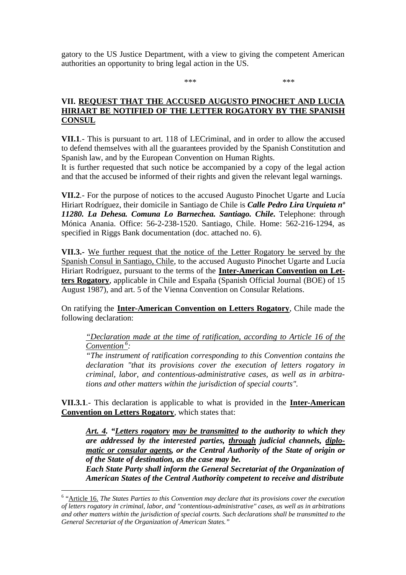gatory to the US Justice Department, with a view to giving the competent American authorities an opportunity to bring legal action in the US.

\*\*\* \*\*\* \*\*\* \*\*\*

# **VII. REQUEST THAT THE ACCUSED AUGUSTO PINOCHET AND LUCIA HIRIART BE NOTIFIED OF THE LETTER ROGATORY BY THE SPANISH CONSUL**

**VII.1**.- This is pursuant to art. 118 of LECriminal, and in order to allow the accused to defend themselves with all the guarantees provided by the Spanish Constitution and Spanish law, and by the European Convention on Human Rights.

It is further requested that such notice be accompanied by a copy of the legal action and that the accused be informed of their rights and given the relevant legal warnings.

**VII.2**.- For the purpose of notices to the accused Augusto Pinochet Ugarte and Lucía Hiriart Rodríguez, their domicile in Santiago de Chile is *Calle Pedro Lira Urquieta nº 11280. La Dehesa. Comuna Lo Barnechea. Santiago. Chile***.** Telephone: through Mónica Anania. Office: 56-2-238-1520. Santiago, Chile. Home: 562-216-1294, as specified in Riggs Bank documentation (doc. attached no. 6).

**VII.3.-** We further request that the notice of the Letter Rogatory be served by the Spanish Consul in Santiago, Chile, to the accused Augusto Pinochet Ugarte and Lucía Hiriart Rodríguez, pursuant to the terms of the **Inter-American Convention on Letters Rogatory**, applicable in Chile and España (Spanish Official Journal (BOE) of 15 August 1987), and art. 5 of the Vienna Convention on Consular Relations.

On ratifying the **Inter-American Convention on Letters Rogatory**, Chile made the following declaration:

*"Declaration made at the time of ratification, according to Article 16 of the Convention <sup>6</sup> :* 

*"The instrument of ratification corresponding to this Convention contains the declaration "that its provisions cover the execution of letters rogatory in criminal, labor, and contentious-administrative cases, as well as in arbitrations and other matters within the jurisdiction of special courts".* 

**VII.3.1**.- This declaration is applicable to what is provided in the **Inter-American Convention on Letters Rogatory**, which states that:

*Art. 4. "Letters rogatory may be transmitted to the authority to which they are addressed by the interested parties, through judicial channels, diplomatic or consular agents, or the Central Authority of the State of origin or of the State of destination, as the case may be.*

*Each State Party shall inform the General Secretariat of the Organization of American States of the Central Authority competent to receive and distribute* 

<sup>&</sup>lt;sup>6</sup> "Article 16. The States Parties to this Convention may declare that its provisions cover the execution *of letters rogatory in criminal, labor, and "contentious-administrative" cases, as well as in arbitrations and other matters within the jurisdiction of special courts. Such declarations shall be transmitted to the General Secretariat of the Organization of American States."*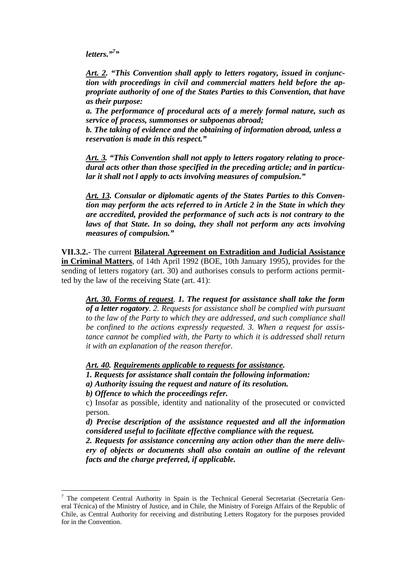*letters.*"<sup>7</sup>

*Art. 2. "This Convention shall apply to letters rogatory, issued in conjunction with proceedings in civil and commercial matters held before the appropriate authority of one of the States Parties to this Convention, that have as their purpose:* 

*a. The performance of procedural acts of a merely formal nature, such as service of process, summonses or subpoenas abroad;*

*b. The taking of evidence and the obtaining of information abroad, unless a reservation is made in this respect."*

*Art. 3. "This Convention shall not apply to letters rogatory relating to procedural acts other than those specified in the preceding article; and in particular it shall not l apply to acts involving measures of compulsion."*

*Art. 13. Consular or diplomatic agents of the States Parties to this Convention may perform the acts referred to in Article 2 in the State in which they are accredited, provided the performance of such acts is not contrary to the laws of that State. In so doing, they shall not perform any acts involving measures of compulsion."*

**VII.3.2.-** The current **Bilateral Agreement on Extradition and Judicial Assistance in Criminal Matters**, of 14th April 1992 (BOE, 10th January 1995), provides for the sending of letters rogatory (art. 30) and authorises consuls to perform actions permitted by the law of the receiving State (art. 41):

*Art. 30. Forms of request. 1. The request for assistance shall take the form of a letter rogatory. 2. Requests for assistance shall be complied with pursuant to the law of the Party to which they are addressed, and such compliance shall be confined to the actions expressly requested. 3. When a request for assistance cannot be complied with, the Party to which it is addressed shall return it with an explanation of the reason therefor.*

*Art. 40. Requirements applicable to requests for assistance.*

*1. Requests for assistance shall contain the following information:*

*a) Authority issuing the request and nature of its resolution.*

*b) Offence to which the proceedings refer.*

 $\overline{a}$ 

c) Insofar as possible, identity and nationality of the prosecuted or convicted person.

*d) Precise description of the assistance requested and all the information considered useful to facilitate effective compliance with the request.*

*2. Requests for assistance concerning any action other than the mere delivery of objects or documents shall also contain an outline of the relevant facts and the charge preferred, if applicable.*

<sup>&</sup>lt;sup>7</sup> The competent Central Authority in Spain is the Technical General Secretariat (Secretaría General Técnica) of the Ministry of Justice, and in Chile, the Ministry of Foreign Affairs of the Republic of Chile, as Central Authority for receiving and distributing Letters Rogatory for the purposes provided for in the Convention.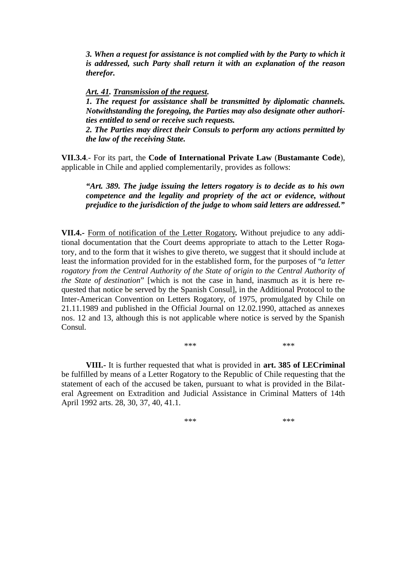*3. When a request for assistance is not complied with by the Party to which it is addressed, such Party shall return it with an explanation of the reason therefor.*

#### *Art. 41. Transmission of the request.*

*1. The request for assistance shall be transmitted by diplomatic channels. Notwithstanding the foregoing, the Parties may also designate other authorities entitled to send or receive such requests.*

*2. The Parties may direct their Consuls to perform any actions permitted by the law of the receiving State.*

**VII.3.4**.- For its part, the **Code of International Private Law** (**Bustamante Code**), applicable in Chile and applied complementarily, provides as follows:

*"Art. 389. The judge issuing the letters rogatory is to decide as to his own competence and the legality and propriety of the act or evidence, without prejudice to the jurisdiction of the judge to whom said letters are addressed."*

**VII.4.-** Form of notification of the Letter Rogatory**.** Without prejudice to any additional documentation that the Court deems appropriate to attach to the Letter Rogatory, and to the form that it wishes to give thereto, we suggest that it should include at least the information provided for in the established form, for the purposes of "*a letter rogatory from the Central Authority of the State of origin to the Central Authority of the State of destination*" [which is not the case in hand, inasmuch as it is here requested that notice be served by the Spanish Consul], in the Additional Protocol to the Inter-American Convention on Letters Rogatory, of 1975, promulgated by Chile on 21.11.1989 and published in the Official Journal on 12.02.1990, attached as annexes nos. 12 and 13, although this is not applicable where notice is served by the Spanish Consul.

\*\*\* \*\*\* \*\*\* \*\*\*

**VIII.-** It is further requested that what is provided in **art. 385 of LECriminal** be fulfilled by means of a Letter Rogatory to the Republic of Chile requesting that the statement of each of the accused be taken, pursuant to what is provided in the Bilateral Agreement on Extradition and Judicial Assistance in Criminal Matters of 14th April 1992 arts. 28, 30, 37, 40, 41.1.

\*\*\* \*\*\* \*\*\* \*\*\*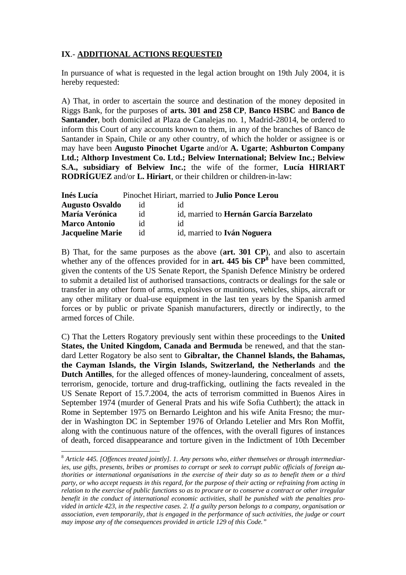# **IX**.- **ADDITIONAL ACTIONS REQUESTED**

In pursuance of what is requested in the legal action brought on 19th July 2004, it is hereby requested:

A) That, in order to ascertain the source and destination of the money deposited in Riggs Bank, for the purposes of **arts. 301 and 258 CP**, **Banco HSBC** and **Banco de Santander**, both domiciled at Plaza de Canalejas no. 1, Madrid-28014, be ordered to inform this Court of any accounts known to them, in any of the branches of Banco de Santander in Spain, Chile or any other country, of which the holder or assignee is or may have been **Augusto Pinochet Ugarte** and/or **A. Ugarte**; **Ashburton Company Ltd.; Althorp Investment Co. Ltd.; Belview International; Belview Inc.; Belview S.A., subsidiary of Belview Inc.;** the wife of the former, **Lucía HIRIART RODRÍGUEZ** and/or **L. Hiriart**, or their children or children-in-law:

| Inés Lucía              |    | Pinochet Hiriart, married to <b>Julio Ponce Lerou</b> |
|-------------------------|----|-------------------------------------------------------|
| <b>Augusto Osvaldo</b>  | id | 1d                                                    |
| <b>María Verónica</b>   | id | id, married to Hernán García Barzelato                |
| <b>Marco Antonio</b>    | id | id                                                    |
| <b>Jacqueline Marie</b> | id | id, married to <b>Iván Noguera</b>                    |

B) That, for the same purposes as the above (**art. 301 CP**), and also to ascertain whether any of the offences provided for in  $art. 445$  bis  $\mathbb{CP}^8$  have been committed, given the contents of the US Senate Report, the Spanish Defence Ministry be ordered to submit a detailed list of authorised transactions, contracts or dealings for the sale or transfer in any other form of arms, explosives or munitions, vehicles, ships, aircraft or any other military or dual-use equipment in the last ten years by the Spanish armed forces or by public or private Spanish manufacturers, directly or indirectly, to the armed forces of Chile.

C) That the Letters Rogatory previously sent within these proceedings to the **United States, the United Kingdom, Canada and Bermuda** be renewed, and that the standard Letter Rogatory be also sent to **Gibraltar, the Channel Islands, the Bahamas, the Cayman Islands, the Virgin Islands, Switzerland, the Netherlands** and **the Dutch Antilles**, for the alleged offences of money-laundering, concealment of assets, terrorism, genocide, torture and drug-trafficking, outlining the facts revealed in the US Senate Report of 15.7.2004, the acts of terrorism committed in Buenos Aires in September 1974 (murder of General Prats and his wife Sofia Cuthbert); the attack in Rome in September 1975 on Bernardo Leighton and his wife Anita Fresno; the murder in Washington DC in September 1976 of Orlando Letelier and Mrs Ron Moffit, along with the continuous nature of the offences, with the overall figures of instances of death, forced disappearance and torture given in the Indictment of 10th December

<sup>8</sup> *Article 445. [Offences treated jointly]. 1. Any persons who, either themselves or through intermediaries, use gifts, presents, bribes or promises to corrupt or seek to corrupt public officials of foreign authorities or international organisations in the exercise of their duty so as to benefit them or a third party, or who accept requests in this regard, for the purpose of their acting or refraining from acting in relation to the exercise of public functions so as to procure or to conserve a contract or other irregular benefit in the conduct of international economic activities, shall be punished with the penalties provided in article 423, in the respective cases. 2. If a guilty person belongs to a company, organisation or association, even temporarily, that is engaged in the performance of such activities, the judge or court may impose any of the consequences provided in article 129 of this Code."*